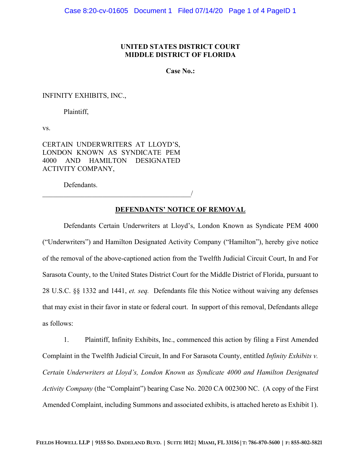## **UNITED STATES DISTRICT COURT MIDDLE DISTRICT OF FLORIDA**

**Case No.:** 

INFINITY EXHIBITS, INC.,

Plaintiff,

vs.

CERTAIN UNDERWRITERS AT LLOYD'S, LONDON KNOWN AS SYNDICATE PEM 4000 AND HAMILTON DESIGNATED ACTIVITY COMPANY,

 $\overline{\phantom{a}}$ 

Defendants.

**DEFENDANTS' NOTICE OF REMOVAL**

Defendants Certain Underwriters at Lloyd's, London Known as Syndicate PEM 4000 ("Underwriters") and Hamilton Designated Activity Company ("Hamilton"), hereby give notice of the removal of the above-captioned action from the Twelfth Judicial Circuit Court, In and For Sarasota County, to the United States District Court for the Middle District of Florida, pursuant to 28 U.S.C. §§ 1332 and 1441, *et. seq.* Defendants file this Notice without waiving any defenses that may exist in their favor in state or federal court. In support of this removal, Defendants allege as follows:

1. Plaintiff, Infinity Exhibits, Inc., commenced this action by filing a First Amended Complaint in the Twelfth Judicial Circuit, In and For Sarasota County, entitled *Infinity Exhibits v. Certain Underwriters at Lloyd's, London Known as Syndicate 4000 and Hamilton Designated Activity Company* (the "Complaint") bearing Case No. 2020 CA 002300 NC. (A copy of the First Amended Complaint, including Summons and associated exhibits, is attached hereto as Exhibit 1).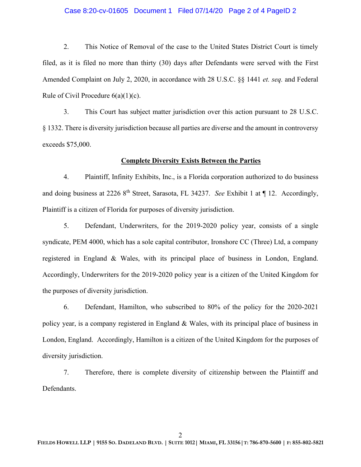## Case 8:20-cv-01605 Document 1 Filed 07/14/20 Page 2 of 4 PageID 2

2. This Notice of Removal of the case to the United States District Court is timely filed, as it is filed no more than thirty (30) days after Defendants were served with the First Amended Complaint on July 2, 2020, in accordance with 28 U.S.C. §§ 1441 *et. seq.* and Federal Rule of Civil Procedure  $6(a)(1)(c)$ .

3. This Court has subject matter jurisdiction over this action pursuant to 28 U.S.C. § 1332. There is diversity jurisdiction because all parties are diverse and the amount in controversy exceeds \$75,000.

#### **Complete Diversity Exists Between the Parties**

4. Plaintiff, Infinity Exhibits, Inc., is a Florida corporation authorized to do business and doing business at 2226 8<sup>th</sup> Street, Sarasota, FL 34237. *See* Exhibit 1 at ¶ 12. Accordingly, Plaintiff is a citizen of Florida for purposes of diversity jurisdiction.

5. Defendant, Underwriters, for the 2019-2020 policy year, consists of a single syndicate, PEM 4000, which has a sole capital contributor, Ironshore CC (Three) Ltd, a company registered in England & Wales, with its principal place of business in London, England. Accordingly, Underwriters for the 2019-2020 policy year is a citizen of the United Kingdom for the purposes of diversity jurisdiction.

6. Defendant, Hamilton, who subscribed to 80% of the policy for the 2020-2021 policy year, is a company registered in England & Wales, with its principal place of business in London, England. Accordingly, Hamilton is a citizen of the United Kingdom for the purposes of diversity jurisdiction.

7. Therefore, there is complete diversity of citizenship between the Plaintiff and Defendants.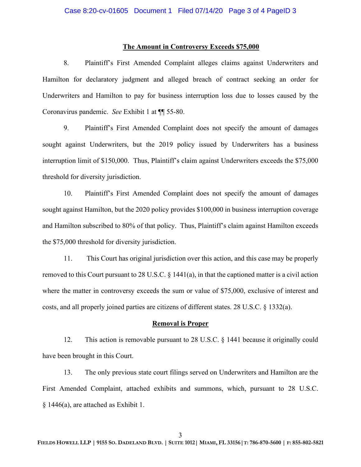## **The Amount in Controversy Exceeds \$75,000**

8. Plaintiff's First Amended Complaint alleges claims against Underwriters and Hamilton for declaratory judgment and alleged breach of contract seeking an order for Underwriters and Hamilton to pay for business interruption loss due to losses caused by the Coronavirus pandemic. *See* Exhibit 1 at ¶¶ 55-80.

9. Plaintiff's First Amended Complaint does not specify the amount of damages sought against Underwriters, but the 2019 policy issued by Underwriters has a business interruption limit of  $$150,000$ . Thus, Plaintiff's claim against Underwriters exceeds the  $$75,000$ threshold for diversity jurisdiction.

10. Plaintiff's First Amended Complaint does not specify the amount of damages sought against Hamilton, but the 2020 policy provides \$100,000 in business interruption coverage and Hamilton subscribed to 80% of that policy. Thus, Plaintiff's claim against Hamilton exceeds the \$75,000 threshold for diversity jurisdiction.

11. This Court has original jurisdiction over this action, and this case may be properly removed to this Court pursuant to 28 U.S.C. § 1441(a), in that the captioned matter is a civil action where the matter in controversy exceeds the sum or value of \$75,000, exclusive of interest and costs, and all properly joined parties are citizens of different states. 28 U.S.C. § 1332(a).

#### **Removal is Proper**

12. This action is removable pursuant to 28 U.S.C. § 1441 because it originally could have been brought in this Court.

13. The only previous state court filings served on Underwriters and Hamilton are the First Amended Complaint, attached exhibits and summons, which, pursuant to 28 U.S.C. § 1446(a), are attached as Exhibit 1.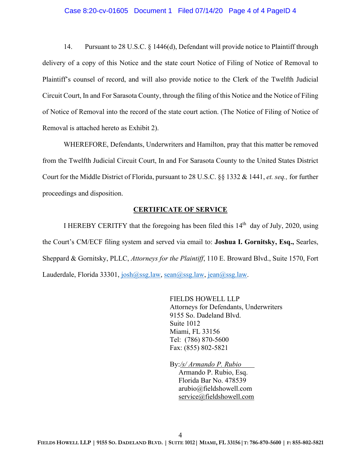#### Case 8:20-cv-01605 Document 1 Filed 07/14/20 Page 4 of 4 PageID 4

14. Pursuant to 28 U.S.C. § 1446(d), Defendant will provide notice to Plaintiff through delivery of a copy of this Notice and the state court Notice of Filing of Notice of Removal to Plaintiff's counsel of record, and will also provide notice to the Clerk of the Twelfth Judicial Circuit Court, In and For Sarasota County, through the filing of this Notice and the Notice of Filing of Notice of Removal into the record of the state court action. (The Notice of Filing of Notice of Removal is attached hereto as Exhibit 2).

WHEREFORE, Defendants, Underwriters and Hamilton, pray that this matter be removed from the Twelfth Judicial Circuit Court, In and For Sarasota County to the United States District Court for the Middle District of Florida, pursuant to 28 U.S.C. §§ 1332 & 1441, *et. seq.,* for further proceedings and disposition.

## **CERTIFICATE OF SERVICE**

I HEREBY CERITFY that the foregoing has been filed this  $14<sup>th</sup>$  day of July, 2020, using the Court's CM/ECF filing system and served via email to: **Joshua I. Gornitsky, Esq.,** Searles, Sheppard & Gornitsky, PLLC, *Attorneys for the Plaintiff*, 110 E. Broward Blvd., Suite 1570, Fort Lauderdale, Florida 33301, [josh@ssg.law,](mailto:josh@ssg.law) [sean@ssg.law,](mailto:sean@ssg.law) [jean@ssg.law.](mailto:jean@ssg.law)

> FIELDS HOWELL LLP Attorneys for Defendants, Underwriters 9155 So. Dadeland Blvd. Suite 1012 Miami, FL 33156 Tel: (786) 870-5600 Fax: (855) 802-5821

By:*/s/ Armando P. Rubio* Armando P. Rubio, Esq. Florida Bar No. 478539 arubio@fieldshowell.com [service@fieldshowell.com](mailto:service@fieldshowell.com)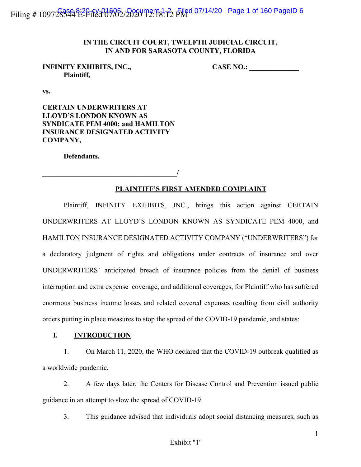Filing # 109728334 E-Filed 07/02/2020 12:18:12 Filed 07/14/20 Page 1 of 160 PageID 6

# **IN THE CIRCUIT COURT, TWELFTH JUDICIAL CIRCUIT, IN AND FOR SARASOTA COUNTY, FLORIDA**

# **Plaintiff,**

**INFINITY EXHIBITS, INC., CASE NO.: \_\_\_\_\_\_\_\_\_\_\_\_\_\_**

**vs.**

**CERTAIN UNDERWRITERS AT LLOYD'S LONDON KNOWN AS SYNDICATE PEM 4000; and HAMILTON INSURANCE DESIGNATED ACTIVITY COMPANY,**

**Defendants.**

**\_\_\_\_\_\_\_\_\_\_\_\_\_\_\_\_\_\_\_\_\_\_\_\_\_\_\_\_\_\_\_\_\_\_\_\_\_\_/**

# **PLAINTIFF'S FIRST AMENDED COMPLAINT**

Plaintiff, INFINITY EXHIBITS, INC., brings this action against CERTAIN UNDERWRITERS AT LLOYD'S LONDON KNOWN AS SYNDICATE PEM 4000, and HAMILTON INSURANCE DESIGNATED ACTIVITY COMPANY ("UNDERWRITERS") for a declaratory judgment of rights and obligations under contracts of insurance and over UNDERWRITERS' anticipated breach of insurance policies from the denial of business interruption and extra expense coverage, and additional coverages, for Plaintiff who has suffered enormous business income losses and related covered expenses resulting from civil authority orders putting in place measures to stop the spread of the COVID-19 pandemic, and states:

# **I. INTRODUCTION**

1. On March 11, 2020, the WHO declared that the COVID-19 outbreak qualified as a worldwide pandemic.

2. A few days later, the Centers for Disease Control and Prevention issued public guidance in an attempt to slow the spread of COVID-19.

3. This guidance advised that individuals adopt social distancing measures, such as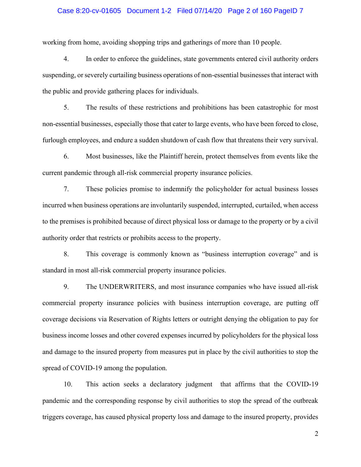## Case 8:20-cv-01605 Document 1-2 Filed 07/14/20 Page 2 of 160 PageID 7

working from home, avoiding shopping trips and gatherings of more than 10 people.

4. In order to enforce the guidelines, state governments entered civil authority orders suspending, or severely curtailing business operations of non-essential businesses that interact with the public and provide gathering places for individuals.

5. The results of these restrictions and prohibitions has been catastrophic for most non-essential businesses, especially those that cater to large events, who have been forced to close, furlough employees, and endure a sudden shutdown of cash flow that threatens their very survival.

6. Most businesses, like the Plaintiff herein, protect themselves from events like the current pandemic through all-risk commercial property insurance policies.

7. These policies promise to indemnify the policyholder for actual business losses incurred when business operations are involuntarily suspended, interrupted, curtailed, when access to the premises is prohibited because of direct physical loss or damage to the property or by a civil authority order that restricts or prohibits access to the property.

8. This coverage is commonly known as "business interruption coverage" and is standard in most all-risk commercial property insurance policies.

9. The UNDERWRITERS, and most insurance companies who have issued all-risk commercial property insurance policies with business interruption coverage, are putting off coverage decisions via Reservation of Rights letters or outright denying the obligation to pay for business income losses and other covered expenses incurred by policyholders for the physical loss and damage to the insured property from measures put in place by the civil authorities to stop the spread of COVID-19 among the population.

10. This action seeks a declaratory judgment that affirms that the COVID-19 pandemic and the corresponding response by civil authorities to stop the spread of the outbreak triggers coverage, has caused physical property loss and damage to the insured property, provides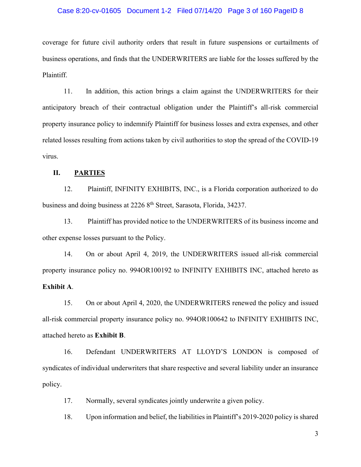### Case 8:20-cv-01605 Document 1-2 Filed 07/14/20 Page 3 of 160 PageID 8

coverage for future civil authority orders that result in future suspensions or curtailments of business operations, and finds that the UNDERWRITERS are liable for the losses suffered by the Plaintiff.

11. In addition, this action brings a claim against the UNDERWRITERS for their anticipatory breach of their contractual obligation under the Plaintiff's all-risk commercial property insurance policy to indemnify Plaintiff for business losses and extra expenses, and other related losses resulting from actions taken by civil authorities to stop the spread of the COVID-19 virus.

# **II. PARTIES**

12. Plaintiff, INFINITY EXHIBITS, INC., is a Florida corporation authorized to do business and doing business at 2226 8<sup>th</sup> Street, Sarasota, Florida, 34237.

13. Plaintiff has provided notice to the UNDERWRITERS of its business income and other expense losses pursuant to the Policy.

14. On or about April 4, 2019, the UNDERWRITERS issued all-risk commercial property insurance policy no. 994OR100192 to INFINITY EXHIBITS INC, attached hereto as **Exhibit A**.

15. On or about April 4, 2020, the UNDERWRITERS renewed the policy and issued all-risk commercial property insurance policy no. 994OR100642 to INFINITY EXHIBITS INC, attached hereto as **Exhibit B**.

16. Defendant UNDERWRITERS AT LLOYD'S LONDON is composed of syndicates of individual underwriters that share respective and several liability under an insurance policy.

17. Normally, several syndicates jointly underwrite a given policy.

18. Upon information and belief, the liabilities in Plaintiff's 2019-2020 policy is shared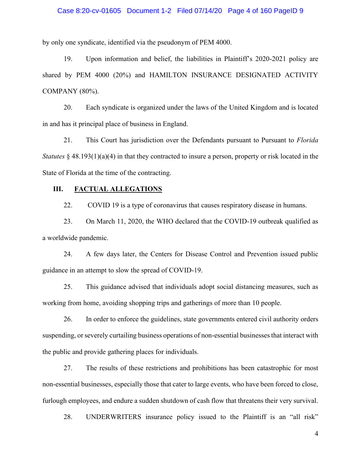## Case 8:20-cv-01605 Document 1-2 Filed 07/14/20 Page 4 of 160 PageID 9

by only one syndicate, identified via the pseudonym of PEM 4000.

19. Upon information and belief, the liabilities in Plaintiff's 2020-2021 policy are shared by PEM 4000 (20%) and HAMILTON INSURANCE DESIGNATED ACTIVITY COMPANY (80%).

20. Each syndicate is organized under the laws of the United Kingdom and is located in and has it principal place of business in England.

21. This Court has jurisdiction over the Defendants pursuant to Pursuant to *Florida Statutes* § 48.193(1)(a)(4) in that they contracted to insure a person, property or risk located in the State of Florida at the time of the contracting.

## **III. FACTUAL ALLEGATIONS**

22. COVID 19 is a type of coronavirus that causes respiratory disease in humans.

23. On March 11, 2020, the WHO declared that the COVID-19 outbreak qualified as a worldwide pandemic.

24. A few days later, the Centers for Disease Control and Prevention issued public guidance in an attempt to slow the spread of COVID-19.

25. This guidance advised that individuals adopt social distancing measures, such as working from home, avoiding shopping trips and gatherings of more than 10 people.

26. In order to enforce the guidelines, state governments entered civil authority orders suspending, or severely curtailing business operations of non-essential businesses that interact with the public and provide gathering places for individuals.

27. The results of these restrictions and prohibitions has been catastrophic for most non-essential businesses, especially those that cater to large events, who have been forced to close, furlough employees, and endure a sudden shutdown of cash flow that threatens their very survival.

28. UNDERWRITERS insurance policy issued to the Plaintiff is an "all risk"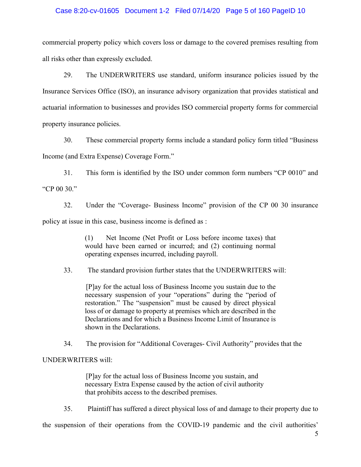## Case 8:20-cv-01605 Document 1-2 Filed 07/14/20 Page 5 of 160 PageID 10

commercial property policy which covers loss or damage to the covered premises resulting from all risks other than expressly excluded.

29. The UNDERWRITERS use standard, uniform insurance policies issued by the Insurance Services Office (ISO), an insurance advisory organization that provides statistical and actuarial information to businesses and provides ISO commercial property forms for commercial property insurance policies.

30. These commercial property forms include a standard policy form titled "Business" Income (and Extra Expense) Coverage Form."

31. This form is identified by the ISO under common form numbers "CP 0010" and "CP 00 30."

32. Under the "Coverage- Business Income" provision of the CP 00 30 insurance policy at issue in this case, business income is defined as :

> (1) Net Income (Net Profit or Loss before income taxes) that would have been earned or incurred; and (2) continuing normal operating expenses incurred, including payroll.

33. The standard provision further states that the UNDERWRITERS will:

[P]ay for the actual loss of Business Income you sustain due to the necessary suspension of your "operations" during the "period of restoration." The "suspension" must be caused by direct physical loss of or damage to property at premises which are described in the Declarations and for which a Business Income Limit of Insurance is shown in the Declarations.

34. The provision for "Additional Coverages- Civil Authority" provides that the

# UNDERWRITERS will:

[P]ay for the actual loss of Business Income you sustain, and necessary Extra Expense caused by the action of civil authority that prohibits access to the described premises.

35. Plaintiff has suffered a direct physical loss of and damage to their property due to

the suspension of their operations from the COVID-19 pandemic and the civil authorities'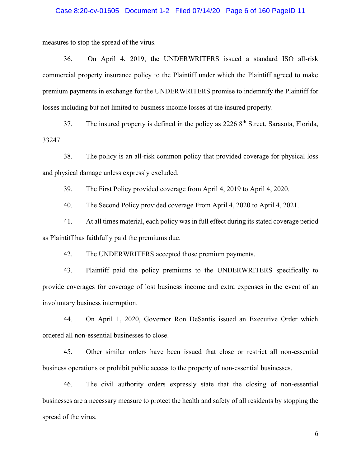## Case 8:20-cv-01605 Document 1-2 Filed 07/14/20 Page 6 of 160 PageID 11

measures to stop the spread of the virus.

36. On April 4, 2019, the UNDERWRITERS issued a standard ISO all-risk commercial property insurance policy to the Plaintiff under which the Plaintiff agreed to make premium payments in exchange for the UNDERWRITERS promise to indemnify the Plaintiff for losses including but not limited to business income losses at the insured property.

37. The insured property is defined in the policy as  $22268<sup>th</sup>$  Street, Sarasota, Florida, 33247.

38. The policy is an all-risk common policy that provided coverage for physical loss and physical damage unless expressly excluded.

39. The First Policy provided coverage from April 4, 2019 to April 4, 2020.

40. The Second Policy provided coverage From April 4, 2020 to April 4, 2021.

41. At all times material, each policy was in full effect during its stated coverage period as Plaintiff has faithfully paid the premiums due.

42. The UNDERWRITERS accepted those premium payments.

43. Plaintiff paid the policy premiums to the UNDERWRITERS specifically to provide coverages for coverage of lost business income and extra expenses in the event of an involuntary business interruption.

44. On April 1, 2020, Governor Ron DeSantis issued an Executive Order which ordered all non-essential businesses to close.

45. Other similar orders have been issued that close or restrict all non-essential business operations or prohibit public access to the property of non-essential businesses.

46. The civil authority orders expressly state that the closing of non-essential businesses are a necessary measure to protect the health and safety of all residents by stopping the spread of the virus.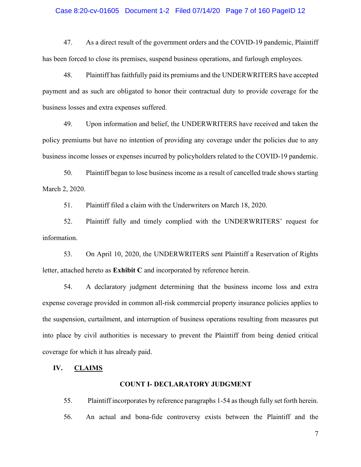#### Case 8:20-cv-01605 Document 1-2 Filed 07/14/20 Page 7 of 160 PageID 12

47. As a direct result of the government orders and the COVID-19 pandemic, Plaintiff has been forced to close its premises, suspend business operations, and furlough employees.

48. Plaintiff has faithfully paid its premiums and the UNDERWRITERS have accepted payment and as such are obligated to honor their contractual duty to provide coverage for the business losses and extra expenses suffered.

49. Upon information and belief, the UNDERWRITERS have received and taken the policy premiums but have no intention of providing any coverage under the policies due to any business income losses or expenses incurred by policyholders related to the COVID-19 pandemic.

50. Plaintiff began to lose business income as a result of cancelled trade shows starting March 2, 2020.

51. Plaintiff filed a claim with the Underwriters on March 18, 2020.

52. Plaintiff fully and timely complied with the UNDERWRITERS' request for information.

53. On April 10, 2020, the UNDERWRITERS sent Plaintiff a Reservation of Rights letter, attached hereto as **Exhibit C** and incorporated by reference herein.

54. A declaratory judgment determining that the business income loss and extra expense coverage provided in common all-risk commercial property insurance policies applies to the suspension, curtailment, and interruption of business operations resulting from measures put into place by civil authorities is necessary to prevent the Plaintiff from being denied critical coverage for which it has already paid.

## **IV. CLAIMS**

## **COUNT I- DECLARATORY JUDGMENT**

55. Plaintiff incorporates by reference paragraphs 1-54 as though fully set forth herein. 56. An actual and bona-fide controversy exists between the Plaintiff and the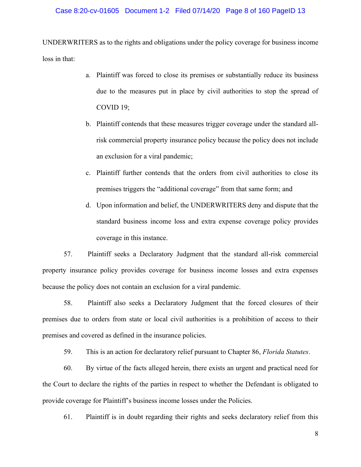## Case 8:20-cv-01605 Document 1-2 Filed 07/14/20 Page 8 of 160 PageID 13

UNDERWRITERS as to the rights and obligations under the policy coverage for business income loss in that:

- a. Plaintiff was forced to close its premises or substantially reduce its business due to the measures put in place by civil authorities to stop the spread of COVID 19;
- b. Plaintiff contends that these measures trigger coverage under the standard allrisk commercial property insurance policy because the policy does not include an exclusion for a viral pandemic;
- c. Plaintiff further contends that the orders from civil authorities to close its premises triggers the "additional coverage" from that same form; and
- d. Upon information and belief, the UNDERWRITERS deny and dispute that the standard business income loss and extra expense coverage policy provides coverage in this instance.

57. Plaintiff seeks a Declaratory Judgment that the standard all-risk commercial property insurance policy provides coverage for business income losses and extra expenses because the policy does not contain an exclusion for a viral pandemic.

58. Plaintiff also seeks a Declaratory Judgment that the forced closures of their premises due to orders from state or local civil authorities is a prohibition of access to their premises and covered as defined in the insurance policies.

59. This is an action for declaratory relief pursuant to Chapter 86, *Florida Statutes*.

60. By virtue of the facts alleged herein, there exists an urgent and practical need for the Court to declare the rights of the parties in respect to whether the Defendant is obligated to provide coverage for Plaintiff's business income losses under the Policies.

61. Plaintiff is in doubt regarding their rights and seeks declaratory relief from this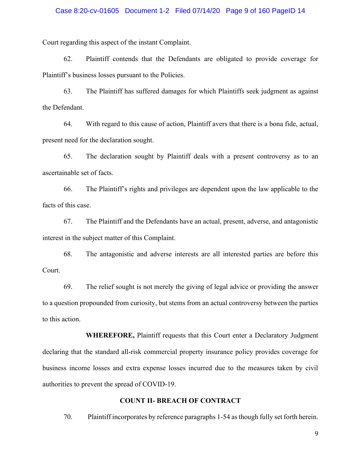## Case 8:20-cv-01605 Document 1-2 Filed 07/14/20 Page 9 of 160 PageID 14

Court regarding this aspect of the instant Complaint.

62. Plaintiff contends that the Defendants are obligated to provide coverage for Plaintiff's business losses pursuant to the Policies.

63. The Plaintiff has suffered damages for which Plaintiffs seek judgment as against the Defendant.

64. With regard to this cause of action, Plaintiff avers that there is a bona fide, actual, present need for the declaration sought.

65. The declaration sought by Plaintiff deals with a present controversy as to an ascertainable set of facts.

66. The Plaintiff's rights and privileges are dependent upon the law applicable to the facts of this case.

67. The Plaintiff and the Defendants have an actual, present, adverse, and antagonistic interest in the subject matter of this Complaint.

68. The antagonistic and adverse interests are all interested parties are before this Court.

69. The relief sought is not merely the giving of legal advice or providing the answer to a question propounded from curiosity, but stems from an actual controversy between the parties to this action.

**WHEREFORE,** Plaintiff requests that this Court enter a Declaratory Judgment declaring that the standard all-risk commercial property insurance policy provides coverage for business income losses and extra expense losses incurred due to the measures taken by civil authorities to prevent the spread of COVID-19.

## **COUNT II- BREACH OF CONTRACT**

70. Plaintiff incorporates by reference paragraphs 1-54 as though fully set forth herein.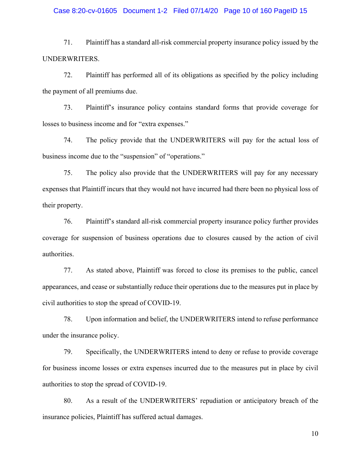## Case 8:20-cv-01605 Document 1-2 Filed 07/14/20 Page 10 of 160 PageID 15

71. Plaintiff has a standard all-risk commercial property insurance policy issued by the UNDERWRITERS.

72. Plaintiff has performed all of its obligations as specified by the policy including the payment of all premiums due.

73. Plaintiff's insurance policy contains standard forms that provide coverage for losses to business income and for "extra expenses."

74. The policy provide that the UNDERWRITERS will pay for the actual loss of business income due to the "suspension" of "operations."

75. The policy also provide that the UNDERWRITERS will pay for any necessary expenses that Plaintiff incurs that they would not have incurred had there been no physical loss of their property.

76. Plaintiff's standard all-risk commercial property insurance policy further provides coverage for suspension of business operations due to closures caused by the action of civil authorities.

77. As stated above, Plaintiff was forced to close its premises to the public, cancel appearances, and cease or substantially reduce their operations due to the measures put in place by civil authorities to stop the spread of COVID-19.

78. Upon information and belief, the UNDERWRITERS intend to refuse performance under the insurance policy.

79. Specifically, the UNDERWRITERS intend to deny or refuse to provide coverage for business income losses or extra expenses incurred due to the measures put in place by civil authorities to stop the spread of COVID-19.

80. As a result of the UNDERWRITERS' repudiation or anticipatory breach of the insurance policies, Plaintiff has suffered actual damages.